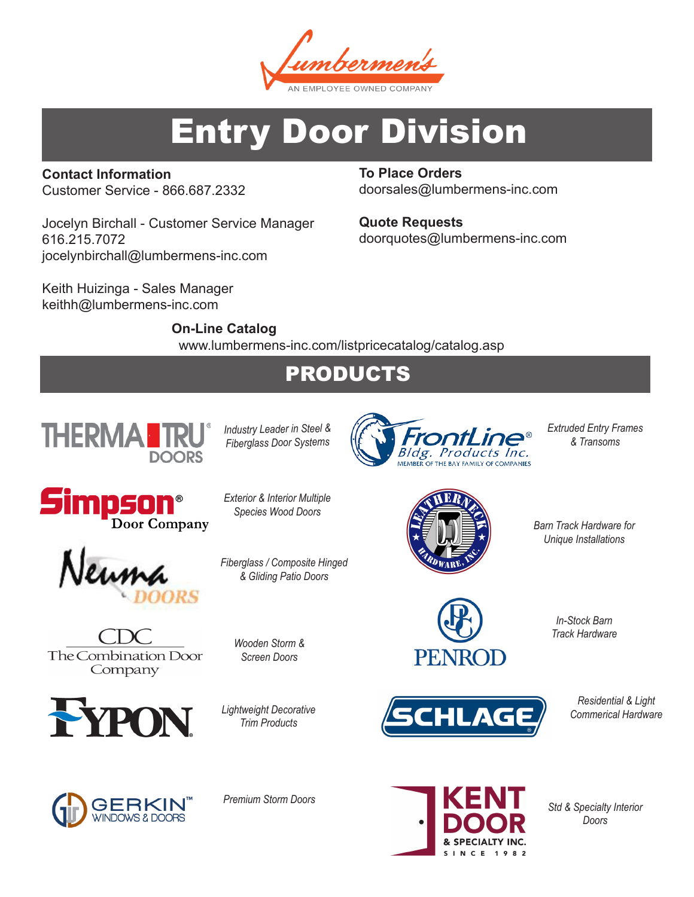nbermen N EMPLOYEE OWNED COMPANT

# Entry Door Division

**Contact Information** Customer Service - 866.687.2332

Jocelyn Birchall - Customer Service Manager 616.215.7072 jocelynbirchall@lumbermens-inc.com

Keith Huizinga - Sales Manager keithh@lumbermens-inc.com

**To Place Orders** doorsales@lumbermens-inc.com

**Quote Requests** doorquotes@lumbermens-inc.com

**On-Line Catalog**  www.lumbermens-inc.com/listpricecatalog/catalog.asp

# PRODUCTS



*Industry Leader in Steel & Fiberglass Door Systems*

*Exterior & Interior Multiple Species Wood Doors*

*Fiberglass / Composite Hinged & Gliding Patio Doors*





The Combination Door Company



*Wooden Storm &* 

*Screen Doors*

*Lightweight Decorative Trim Products*



*Extruded Entry Frames & Transoms*



*Barn Track Hardware for Unique Installations*



*In-Stock Barn Track Hardware*

**HLAGE** 



*Residential & Light Commerical Hardware*

*Std & Specialty Interior Doors*



*Premium Storm Doors*